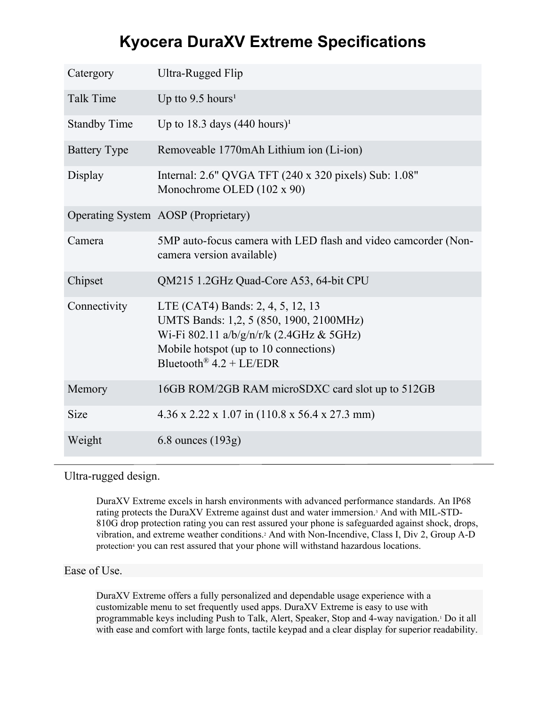# **Kyocera DuraXV Extreme Specifications**

| Catergory           | Ultra-Rugged Flip                                                                                                                                                                              |
|---------------------|------------------------------------------------------------------------------------------------------------------------------------------------------------------------------------------------|
| <b>Talk Time</b>    | Up tto $9.5$ hours <sup>1</sup>                                                                                                                                                                |
| <b>Standby Time</b> | Up to 18.3 days $(440 \text{ hours})^1$                                                                                                                                                        |
| <b>Battery Type</b> | Removeable 1770mAh Lithium ion (Li-ion)                                                                                                                                                        |
| Display             | Internal: 2.6" QVGA TFT (240 x 320 pixels) Sub: 1.08"<br>Monochrome OLED (102 x 90)                                                                                                            |
|                     | Operating System AOSP (Proprietary)                                                                                                                                                            |
| Camera              | 5MP auto-focus camera with LED flash and video camcorder (Non-<br>camera version available)                                                                                                    |
| Chipset             | QM215 1.2GHz Quad-Core A53, 64-bit CPU                                                                                                                                                         |
| Connectivity        | LTE (CAT4) Bands: 2, 4, 5, 12, 13<br>UMTS Bands: 1,2, 5 (850, 1900, 2100MHz)<br>Wi-Fi 802.11 a/b/g/n/r/k (2.4GHz & 5GHz)<br>Mobile hotspot (up to 10 connections)<br>Bluetooth® $4.2 + LE/EDR$ |
| Memory              | 16GB ROM/2GB RAM microSDXC card slot up to 512GB                                                                                                                                               |
| Size                | $4.36 \times 2.22 \times 1.07$ in (110.8 x 56.4 x 27.3 mm)                                                                                                                                     |
| Weight              | $6.8$ ounces $(193g)$                                                                                                                                                                          |

Ultra-rugged design.

DuraXV Extreme excels in harsh environments with advanced performance standards. An IP68 rating protects the DuraXV Extreme against dust and water immersion.3 And with MIL-STD-810G drop protection rating you can rest assured your phone is safeguarded against shock, drops, vibration, and extreme weather conditions.2 And with Non-Incendive, Class I, Div 2, Group A-D protection<sup>4</sup> you can rest assured that your phone will withstand hazardous locations.

### Ease of Use.

DuraXV Extreme offers a fully personalized and dependable usage experience with a customizable menu to set frequently used apps. DuraXV Extreme is easy to use with programmable keys including Push to Talk, Alert, Speaker, Stop and 4-way navigation.1 Do it all with ease and comfort with large fonts, tactile keypad and a clear display for superior readability.